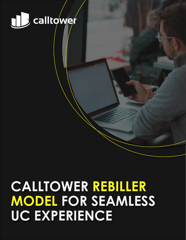

# **CALLTOWER REBILLER MODEL FOR SEAMLESS UC EXPERIENCE**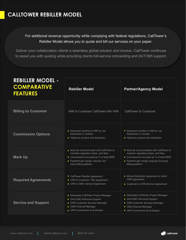## **CALLTOWER REBILLER MODEL**

### For additional revenue opportunity while complying with federal regulations, CallTower's Rebiller Model allows you to quote and bill our services on your paper.

Deliver your collaboration clients a seamless global solution and invoice. CallTower continues to assist you with quoting while providing clients full-service onboarding and 24/7/365 support.

| <b>REBILLER MODEL -</b><br><b>COMPARATIVE</b><br><b>FEATURES</b> | <b>Rebiller Model</b>                                                                                                                                                                        | <b>Partner/Agency Model</b>                                                                                                                                                                  |
|------------------------------------------------------------------|----------------------------------------------------------------------------------------------------------------------------------------------------------------------------------------------|----------------------------------------------------------------------------------------------------------------------------------------------------------------------------------------------|
| <b>Billing to Customer</b>                                       | VAR to Customer CallTower bills VAR                                                                                                                                                          | <b>CallTower to Customer</b>                                                                                                                                                                 |
| <b>Commission Options</b>                                        | • Delivered monthly to VAR (or via<br>Distributor) in arrears.<br>• Varies by product and distributor                                                                                        | • Delivered monthly to VAR (or via<br>Distributor) in arrears.<br>• Varies by product and distributor                                                                                        |
| <b>Mark Up</b>                                                   | • Must be communicated with CallTower to<br>maintain regulatory taxes, and fees.<br>• Commissions are paid as % of total MRR.<br>• Passthrough margin requires 3rd<br>party billing platform | • Must be communicated with CallTower to<br>maintain regulatory taxes, and fees.<br>• Commissions are paid as % of total MRR.<br>• Passthrough margin requires 3rd party<br>billing platform |
| <b>Required Agreements</b>                                       | • CallTower Rebiller Agreement<br>• VAR to Customer: T&C Agreement<br>• VAR to OSN: Service Agreement                                                                                        | • Mutual distributor agreement or direct<br>OSN agreement.<br>• Customer to OSN Service Agreement                                                                                            |
| <b>Service and Support</b>                                       | • Dedicated CallTower Project Manager<br>• 24x7x365 Technical Support<br>• OSN Customer Success Manager<br>• OSN Channel Manager<br>• VAR involvement at all phases                          | • Dedicated CallTower Project Manager<br>• 24x7x365 Technical Support<br>• OSN Customer Success Manager<br>• OSN Channel Manager<br>• VAR involvement at all phases                          |

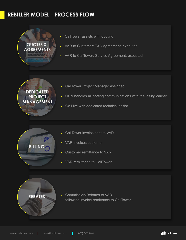# **REBILLER MODEL - PROCESS FLOW**

- CallTower assists with quoting  $\bullet$
- VAR to Customer: T&C Agreement, executed  $\bullet$
- VAR to CallTower: Service Agreement, executed

## **DEDICATED PROJECT MANAGEMENT**

**QUOTES & AGREEMENTS**

- CallTower Project Manager assigned
- OSN handles all porting communications with the losing carrier
- Go Live with dedicated technical assist.  $\bullet$
- CallTower invoice sent to VAR
- VAR invoices customer  $\bullet$
- Customer remittance to VAR  $\bullet$
- VAR remittance to CallTower  $\bullet$



**BILLING**

Commission/Rebates to VAR  $\bullet$ following invoice remittance to CallTower